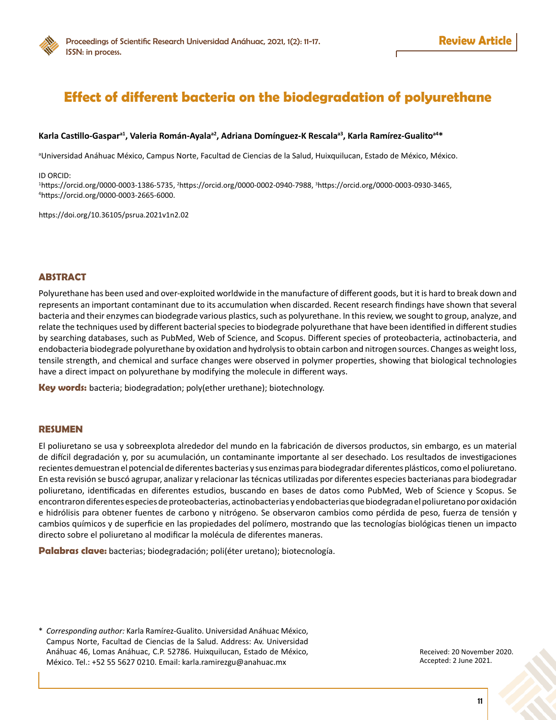# **Effect of different bacteria on the biodegradation of polyurethane**

## **Karla Castillo-Gaspara1, Valeria Román-Ayalaa2, Adriana Domínguez-K Rescalaa3, Karla Ramírez-Gualitoa4\***

a Universidad Anáhuac México, Campus Norte, Facultad de Ciencias de la Salud, Huixquilucan, Estado de México, México.

ID ORCID:

1 [https://orcid.org/0000-0003-1386-5735,](https://orcid.org/0000-0003-1386-5735) <sup>2</sup> <https://orcid.org/0000-0002-0940-7988>, 3 <https://orcid.org/0000-0003-0930-3465>, 4 [https://orcid.org/0000-0003-2665-6000.](https://orcid.org/0000-0003-2665-6000)

<https://doi.org/10.36105/psrua.2021v1n2.02>

## **ABSTRACT**

Polyurethane has been used and over-exploited worldwide in the manufacture of different goods, but it is hard to break down and represents an important contaminant due to its accumulation when discarded. Recent research findings have shown that several bacteria and their enzymes can biodegrade various plastics, such as polyurethane. In this review, we sought to group, analyze, and relate the techniques used by different bacterial species to biodegrade polyurethane that have been identified in different studies by searching databases, such as PubMed, Web of Science, and Scopus. Different species of proteobacteria, actinobacteria, and endobacteria biodegrade polyurethane by oxidation and hydrolysis to obtain carbon and nitrogen sources. Changes as weight loss, tensile strength, and chemical and surface changes were observed in polymer properties, showing that biological technologies have a direct impact on polyurethane by modifying the molecule in different ways.

**Key words:** bacteria; biodegradation; poly(ether urethane); biotechnology.

## **RESUMEN**

El poliuretano se usa y sobreexplota alrededor del mundo en la fabricación de diversos productos, sin embargo, es un material de difícil degradación y, por su acumulación, un contaminante importante al ser desechado. Los resultados de investigaciones recientes demuestran el potencial de diferentes bacterias y sus enzimas para biodegradar diferentes plásticos, como el poliuretano. En esta revisión se buscó agrupar, analizar y relacionar las técnicas utilizadas por diferentes especies bacterianas para biodegradar poliuretano, identificadas en diferentes estudios, buscando en bases de datos como PubMed, Web of Science y Scopus. Se encontraron diferentes especies de proteobacterias, actinobacterias y endobacterias que biodegradan el poliuretano por oxidación e hidrólisis para obtener fuentes de carbono y nitrógeno. Se observaron cambios como pérdida de peso, fuerza de tensión y cambios químicos y de superficie en las propiedades del polímero, mostrando que las tecnologías biológicas tienen un impacto directo sobre el poliuretano al modificar la molécula de diferentes maneras.

**Palabras clave:** bacterias; biodegradación; poli(éter uretano); biotecnología.

\* *Corresponding author:* Karla Ramírez-Gualito. Universidad Anáhuac México, Campus Norte, Facultad de Ciencias de la Salud. Address: Av. Universidad Anáhuac 46, Lomas Anáhuac, C.P. 52786. Huixquilucan, Estado de México, México. Tel.: +52 55 5627 0210. Email: [karla.ramirezgu@anahuac.mx](mailto:karla.ramirezgu@anahuac.mx)

Received: 20 November 2020. Accepted: 2 June 2021.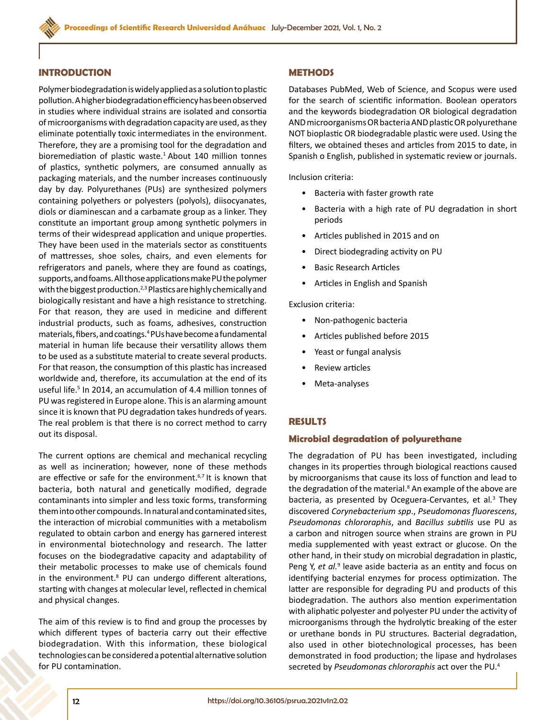## **INTRODUCTION**

Polymer biodegradation is widely applied as a solution to plastic pollution. A higher biodegradation efficiency has been observed in studies where individual strains are isolated and consortia of microorganisms with degradation capacity are used, as they eliminate potentially toxic intermediates in the environment. Therefore, they are a promising tool for the degradation and bioremediation of plastic waste.<sup>1</sup> About 140 million tonnes of plastics, synthetic polymers, are consumed annually as packaging materials, and the number increases continuously day by day. Polyurethanes (PUs) are synthesized polymers containing polyethers or polyesters (polyols), diisocyanates, diols or diaminescan and a carbamate group as a linker. They constitute an important group among synthetic polymers in terms of their widespread application and unique properties. They have been used in the materials sector as constituents of mattresses, shoe soles, chairs, and even elements for refrigerators and panels, where they are found as coatings, supports, and foams. All those applications make PU the polymer with the biggest production.<sup>2,3</sup> Plastics are highly chemically and biologically resistant and have a high resistance to stretching. For that reason, they are used in medicine and different industrial products, such as foams, adhesives, construction materials, fibers, and coatings.4 PUs have become a fundamental material in human life because their versatility allows them to be used as a substitute material to create several products. For that reason, the consumption of this plastic has increased worldwide and, therefore, its accumulation at the end of its useful life.<sup>5</sup> In 2014, an accumulation of 4.4 million tonnes of PU was registered in Europe alone. This is an alarming amount since it is known that PU degradation takes hundreds of years. The real problem is that there is no correct method to carry out its disposal.

The current options are chemical and mechanical recycling as well as incineration; however, none of these methods are effective or safe for the environment.<sup>6,7</sup> It is known that bacteria, both natural and genetically modified, degrade contaminants into simpler and less toxic forms, transforming them into other compounds. In natural and contaminated sites, the interaction of microbial communities with a metabolism regulated to obtain carbon and energy has garnered interest in environmental biotechnology and research. The latter focuses on the biodegradative capacity and adaptability of their metabolic processes to make use of chemicals found in the environment.<sup>8</sup> PU can undergo different alterations, starting with changes at molecular level, reflected in chemical and physical changes.

The aim of this review is to find and group the processes by which different types of bacteria carry out their effective biodegradation. With this information, these biological technologies can be considered a potential alternative solution for PU contamination.

## **METHODS**

Databases PubMed, Web of Science, and Scopus were used for the search of scientific information. Boolean operators and the keywords biodegradation OR biological degradation AND microorganisms OR bacteria AND plastic OR polyurethane NOT bioplastic OR biodegradable plastic were used. Using the filters, we obtained theses and articles from 2015 to date, in Spanish o English, published in systematic review or journals.

Inclusion criteria:

- Bacteria with faster growth rate
- Bacteria with a high rate of PU degradation in short periods
- Articles published in 2015 and on
- Direct biodegrading activity on PU
- Basic Research Articles
- Articles in English and Spanish

Exclusion criteria:

- Non-pathogenic bacteria
- Articles published before 2015
- Yeast or fungal analysis
- Review articles
- Meta-analyses

## **RESULTS**

## **Microbial degradation of polyurethane**

The degradation of PU has been investigated, including changes in its properties through biological reactions caused by microorganisms that cause its loss of function and lead to the degradation of the material.<sup>8</sup> An example of the above are bacteria, as presented by Oceguera-Cervantes, et al*.* 3 They discovered *Corynebacterium spp*., *Pseudomonas fluorescens*, *Pseudomonas chlororaphis*, and *Bacillus subtilis* use PU as a carbon and nitrogen source when strains are grown in PU media supplemented with yeast extract or glucose. On the other hand, in their study on microbial degradation in plastic, Peng Y, et al.<sup>9</sup> leave aside bacteria as an entity and focus on identifying bacterial enzymes for process optimization. The latter are responsible for degrading PU and products of this biodegradation. The authors also mention experimentation with aliphatic polyester and polyester PU under the activity of microorganisms through the hydrolytic breaking of the ester or urethane bonds in PU structures. Bacterial degradation, also used in other biotechnological processes, has been demonstrated in food production; the lipase and hydrolases secreted by *Pseudomonas chlororaphis* act over the PU.<sup>4</sup>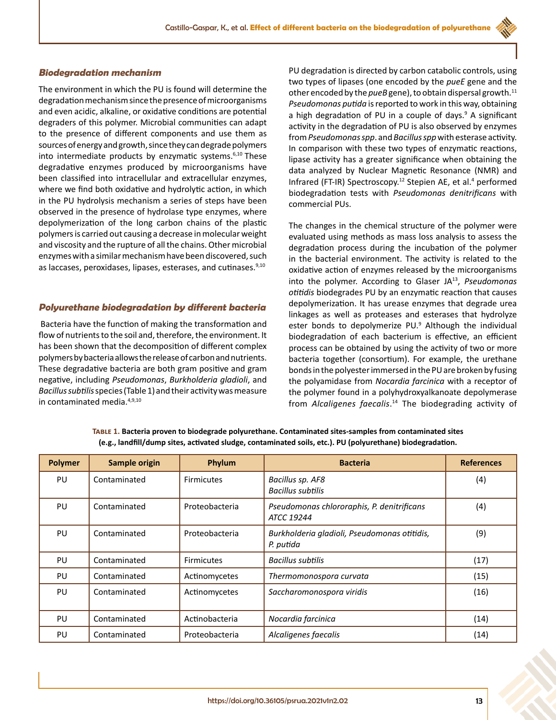## **Biodegradation mechanism**

The environment in which the PU is found will determine the degradation mechanism since the presence of microorganisms and even acidic, alkaline, or oxidative conditions are potential degraders of this polymer. Microbial communities can adapt to the presence of different components and use them as sources of energy and growth, since they can degrade polymers into intermediate products by enzymatic systems. $6,10$  These degradative enzymes produced by microorganisms have been classified into intracellular and extracellular enzymes, where we find both oxidative and hydrolytic action, in which in the PU hydrolysis mechanism a series of steps have been observed in the presence of hydrolase type enzymes, where depolymerization of the long carbon chains of the plastic polymers is carried out causing a decrease in molecular weight and viscosity and the rupture of all the chains. Other microbial enzymes with a similar mechanism have been discovered, such as laccases, peroxidases, lipases, esterases, and cutinases.<sup>9,10</sup>

## **Polyurethane biodegradation by different bacteria**

Bacteria have the function of making the transformation and flow of nutrients to the soil and, therefore, the environment. It has been shown that the decomposition of different complex polymers by bacteria allows the release of carbon and nutrients. These degradative bacteria are both gram positive and gram negative, including *Pseudomonas*, *Burkholderia gladioli*, and *Bacillussubtilis* species (Table 1) and their activity was measure in contaminated media.4,9,10

PU degradation is directed by carbon catabolic controls, using two types of lipases (one encoded by the *pueE* gene and the other encoded by the *pueB* gene), to obtain dispersal growth.<sup>11</sup> *Pseudomonas putida* is reported to work in this way, obtaining a high degradation of PU in a couple of days.<sup>9</sup> A significant activity in the degradation of PU is also observed by enzymes from *Pseudomonas spp*. and *Bacillus spp* with esterase activity. In comparison with these two types of enzymatic reactions, lipase activity has a greater significance when obtaining the data analyzed by Nuclear Magnetic Resonance (NMR) and Infrared (FT-IR) Spectroscopy.<sup>12</sup> Stepien AE, et al.<sup>4</sup> performed biodegradation tests with *Pseudomonas denitrificans* with commercial PUs.

The changes in the chemical structure of the polymer were evaluated using methods as mass loss analysis to assess the degradation process during the incubation of the polymer in the bacterial environment. The activity is related to the oxidative action of enzymes released by the microorganisms into the polymer. According to Glaser JA13, *Pseudomonas otitidis* biodegrades PU by an enzymatic reaction that causes depolymerization. It has urease enzymes that degrade urea linkages as well as proteases and esterases that hydrolyze ester bonds to depolymerize PU.<sup>9</sup> Although the individual biodegradation of each bacterium is effective, an efficient process can be obtained by using the activity of two or more bacteria together (consortium). For example, the urethane bonds in the polyester immersed in the PU are broken by fusing the polyamidase from *Nocardia farcinica* with a receptor of the polymer found in a polyhydroxyalkanoate depolymerase from *Alcaligenes faecalis*. 14 The biodegrading activity of

| <b>Polymer</b> | Sample origin | Phylum            | <b>Bacteria</b>                                           | <b>References</b> |
|----------------|---------------|-------------------|-----------------------------------------------------------|-------------------|
| PU             | Contaminated  | <b>Firmicutes</b> | Bacillus sp. AF8<br><b>Bacillus subtilis</b>              | (4)               |
| PU             | Contaminated  | Proteobacteria    | Pseudomonas chlororaphis, P. denitrificans<br>ATCC 19244  | (4)               |
| PU             | Contaminated  | Proteobacteria    | Burkholderia gladioli, Pseudomonas otitidis,<br>P. putida | (9)               |
| PU             | Contaminated  | <b>Firmicutes</b> | <b>Bacillus subtilis</b>                                  | (17)              |
| PU             | Contaminated  | Actinomycetes     | Thermomonospora curvata                                   | (15)              |
| PU             | Contaminated  | Actinomycetes     | Saccharomonospora viridis                                 | (16)              |
| PU             | Contaminated  | Actinobacteria    | Nocardia farcinica                                        | (14)              |
| PU             | Contaminated  | Proteobacteria    | Alcaligenes faecalis                                      | (14)              |

**Table 1. Bacteria proven to biodegrade polyurethane. Contaminated sites-samples from contaminated sites (e.g., landfill/dump sites, activated sludge, contaminated soils, etc.). PU (polyurethane) biodegradation.**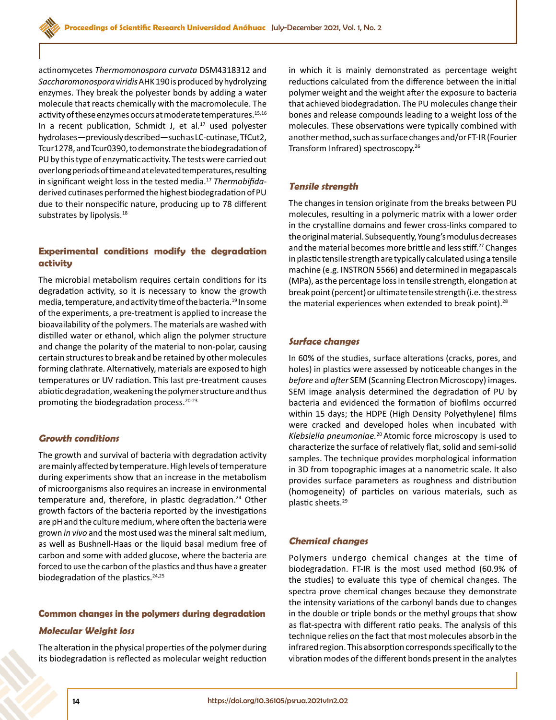actinomycetes *Thermomonospora curvata* DSM4318312 and *Saccharomonospora viridis* AHK 190 is produced by hydrolyzing enzymes. They break the polyester bonds by adding a water molecule that reacts chemically with the macromolecule. The activity of these enzymes occurs at moderate temperatures.<sup>15,16</sup> In a recent publication, Schmidt J, et al*.* <sup>17</sup> used polyester hydrolases—previously described—such as LC-cutinase, TfCut2, Tcur1278, and Tcur0390, to demonstrate the biodegradation of PU by this type of enzymatic activity. The tests were carried out over long periods of time and at elevated temperatures, resulting in significant weight loss in the tested media.17 *Thermobifida*derived cutinases performed the highest biodegradation of PU due to their nonspecific nature, producing up to 78 different substrates by lipolysis.<sup>18</sup>

## **Experimental conditions modify the degradation activity**

The microbial metabolism requires certain conditions for its degradation activity, so it is necessary to know the growth media, temperature, and activity time of the bacteria.19 In some of the experiments, a pre-treatment is applied to increase the bioavailability of the polymers. The materials are washed with distilled water or ethanol, which align the polymer structure and change the polarity of the material to non-polar, causing certain structures to break and be retained by other molecules forming clathrate. Alternatively, materials are exposed to high temperatures or UV radiation. This last pre-treatment causes abiotic degradation, weakening the polymer structure and thus promoting the biodegradation process.20-23

#### **Growth conditions**

The growth and survival of bacteria with degradation activity are mainly affected by temperature. High levels of temperature during experiments show that an increase in the metabolism of microorganisms also requires an increase in environmental temperature and, therefore, in plastic degradation.<sup>24</sup> Other growth factors of the bacteria reported by the investigations are pH and the culture medium, where often the bacteria were grown *in vivo* and the most used was the mineral salt medium, as well as Bushnell-Haas or the liquid basal medium free of carbon and some with added glucose, where the bacteria are forced to use the carbon of the plastics and thus have a greater biodegradation of the plastics. $24,25$ 

#### **Common changes in the polymers during degradation**

#### **Molecular Weight loss**

The alteration in the physical properties of the polymer during its biodegradation is reflected as molecular weight reduction in which it is mainly demonstrated as percentage weight reductions calculated from the difference between the initial polymer weight and the weight after the exposure to bacteria that achieved biodegradation. The PU molecules change their bones and release compounds leading to a weight loss of the molecules. These observations were typically combined with another method, such as surface changes and/or FT-IR (Fourier Transform Infrared) spectroscopy.26

#### **Tensile strength**

The changes in tension originate from the breaks between PU molecules, resulting in a polymeric matrix with a lower order in the crystalline domains and fewer cross-links compared to the original material. Subsequently, Young's modulus decreases and the material becomes more brittle and less stiff.<sup>27</sup> Changes in plastic tensile strength are typically calculated using a tensile machine (e.g. INSTRON 5566) and determined in megapascals (MPa), as the percentage loss in tensile strength, elongation at break point (percent) or ultimate tensile strength (i.e. the stress the material experiences when extended to break point). $28$ 

#### **Surface changes**

In 60% of the studies, surface alterations (cracks, pores, and holes) in plastics were assessed by noticeable changes in the *before* and *after* SEM (Scanning Electron Microscopy) images. SEM image analysis determined the degradation of PU by bacteria and evidenced the formation of biofilms occurred within 15 days; the HDPE (High Density Polyethylene) films were cracked and developed holes when incubated with *Klebsiella pneumoniae.*20 Atomic force microscopy is used to characterize the surface of relatively flat, solid and semi-solid samples. The technique provides morphological information in 3D from topographic images at a nanometric scale. It also provides surface parameters as roughness and distribution (homogeneity) of particles on various materials, such as plastic sheets.29

#### **Chemical changes**

Polymers undergo chemical changes at the time of biodegradation. FT-IR is the most used method (60.9% of the studies) to evaluate this type of chemical changes. The spectra prove chemical changes because they demonstrate the intensity variations of the carbonyl bands due to changes in the double or triple bonds or the methyl groups that show as flat-spectra with different ratio peaks. The analysis of this technique relies on the fact that most molecules absorb in the infrared region. This absorption corresponds specifically to the vibration modes of the different bonds present in the analytes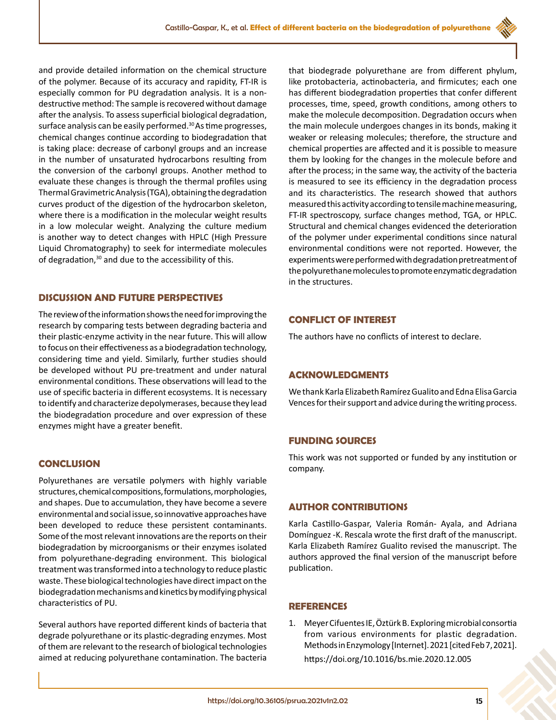and provide detailed information on the chemical structure of the polymer. Because of its accuracy and rapidity, FT-IR is especially common for PU degradation analysis. It is a nondestructive method: The sample is recovered without damage after the analysis. To assess superficial biological degradation, surface analysis can be easily performed.<sup>30</sup> As time progresses, chemical changes continue according to biodegradation that is taking place: decrease of carbonyl groups and an increase in the number of unsaturated hydrocarbons resulting from the conversion of the carbonyl groups. Another method to evaluate these changes is through the thermal profiles using Thermal Gravimetric Analysis (TGA), obtaining the degradation curves product of the digestion of the hydrocarbon skeleton, where there is a modification in the molecular weight results in a low molecular weight. Analyzing the culture medium is another way to detect changes with HPLC (High Pressure Liquid Chromatography) to seek for intermediate molecules of degradation,<sup>30</sup> and due to the accessibility of this.

## **DISCUSSION AND FUTURE PERSPECTIVES**

The review of the information shows the need for improving the research by comparing tests between degrading bacteria and their plastic-enzyme activity in the near future. This will allow to focus on their effectiveness as a biodegradation technology, considering time and yield. Similarly, further studies should be developed without PU pre-treatment and under natural environmental conditions. These observations will lead to the use of specific bacteria in different ecosystems. It is necessary to identify and characterize depolymerases, because they lead the biodegradation procedure and over expression of these enzymes might have a greater benefit.

## **CONCLUSION**

Polyurethanes are versatile polymers with highly variable structures, chemical compositions, formulations, morphologies, and shapes. Due to accumulation, they have become a severe environmental and social issue, so innovative approaches have been developed to reduce these persistent contaminants. Some of the most relevant innovations are the reports on their biodegradation by microorganisms or their enzymes isolated from polyurethane-degrading environment. This biological treatment was transformed into a technology to reduce plastic waste. These biological technologies have direct impact on the biodegradation mechanisms and kinetics by modifying physical characteristics of PU.

Several authors have reported different kinds of bacteria that degrade polyurethane or its plastic-degrading enzymes. Most of them are relevant to the research of biological technologies aimed at reducing polyurethane contamination. The bacteria

that biodegrade polyurethane are from different phylum, like protobacteria, actinobacteria, and firmicutes; each one has different biodegradation properties that confer different processes, time, speed, growth conditions, among others to make the molecule decomposition. Degradation occurs when the main molecule undergoes changes in its bonds, making it weaker or releasing molecules; therefore, the structure and chemical properties are affected and it is possible to measure them by looking for the changes in the molecule before and after the process; in the same way, the activity of the bacteria is measured to see its efficiency in the degradation process and its characteristics. The research showed that authors measured this activity according to tensile machine measuring, FT-IR spectroscopy, surface changes method, TGA, or HPLC. Structural and chemical changes evidenced the deterioration of the polymer under experimental conditions since natural environmental conditions were not reported. However, the experiments were performed with degradation pretreatment of the polyurethane molecules to promote enzymatic degradation in the structures.

## **CONFLICT OF INTEREST**

The authors have no conflicts of interest to declare.

## **ACKNOWLEDGMENTS**

We thank Karla Elizabeth Ramírez Gualito and Edna Elisa Garcia Vences for their support and advice during the writing process.

### **FUNDING SOURCES**

This work was not supported or funded by any institution or company.

## **AUTHOR CONTRIBUTIONS**

Karla Castillo-Gaspar, Valeria Román- Ayala, and Adriana Domínguez -K. Rescala wrote the first draft of the manuscript. Karla Elizabeth Ramírez Gualito revised the manuscript. The authors approved the final version of the manuscript before publication.

## **REFERENCES**

1. Meyer Cifuentes IE, Öztürk B. Exploring microbial consortia from various environments for plastic degradation. Methods in Enzymology [Internet]. 2021 [cited Feb 7, 2021]. <https://doi.org/10.1016/bs.mie.2020.12.005>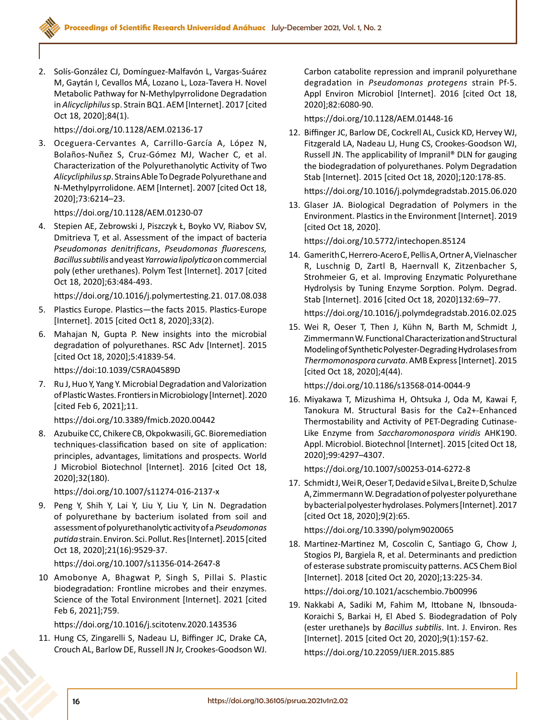2. Solís-González CJ, Domínguez-Malfavón L, Vargas-Suárez M, Gaytán I, Cevallos MÁ, Lozano L, Loza-Tavera H. Novel Metabolic Pathway for N-Methylpyrrolidone Degradation in *Alicycliphilus* sp. Strain BQ1. AEM [Internet]. 2017 [cited Oct 18, 2020];84(1).

<https://doi.org/10.1128/AEM.02136-17>

3. Oceguera-Cervantes A, Carrillo-García A, López N, Bolaños-Nuñez S, Cruz-Gómez MJ, Wacher C, et al. Characterization of the Polyurethanolytic Activity of Two *Alicycliphilus sp*. Strains Able To Degrade Polyurethane and N-Methylpyrrolidone. AEM [Internet]. 2007 [cited Oct 18, 2020];73:6214–23.

<https://doi.org/10.1128/AEM.01230-07>

4. Stepien AE, Zebrowski J, Piszczyk Ł, Boyko VV, Riabov SV, Dmitrieva T, et al. Assessment of the impact of bacteria *Pseudomonas denitrificans*, *Pseudomonas fluorescens, Bacillus subtilis* and yeast *Yarrowia lipolytica* on commercial poly (ether urethanes). Polym Test [Internet]. 2017 [cited Oct 18, 2020];63:484-493.

[https://doi.org/10.1016/j.polymertesting.21. 017.08.038](https://doi.org/10.1016/j.polymertesting.2017.08.038)

- 5. Plastics Europe. Plastics—the facts 2015. Plastics-Europe [Internet]. 2015 [cited Oct1 8, 2020];33(2).
- 6. Mahajan N, Gupta P. New insights into the microbial degradation of polyurethanes. RSC Adv [Internet]. 2015 [cited Oct 18, 2020];5:41839-54.

https://doi:10.1039/C5RA04589D

7. Ru J, Huo Y, Yang Y. Microbial Degradation and Valorization of Plastic Wastes. Frontiers in Microbiology [Internet]. 2020 [cited Feb 6, 2021];11.

<https://doi.org/10.3389/fmicb.2020.00442>

8. Azubuike CC, Chikere CB, Okpokwasili, GC. Bioremediation techniques‐classification based on site of application: principles, advantages, limitations and prospects. World J Microbiol Biotechnol [Internet]. 2016 [cited Oct 18, 2020];32(180).

<https://doi.org/10.1007/s11274-016-2137-x>

9. Peng Y, Shih Y, Lai Y, Liu Y, Liu Y, Lin N. Degradation of polyurethane by bacterium isolated from soil and assessment of polyurethanolytic activity of a *Pseudomonas putida* strain. Environ. Sci. Pollut. Res [Internet]. 2015 [cited Oct 18, 2020];21(16):9529-37.

<https://doi.org/10.1007/s11356-014-2647-8>

10 Amobonye A, Bhagwat P, Singh S, Pillai S. Plastic biodegradation: Frontline microbes and their enzymes. Science of the Total Environment [Internet]. 2021 [cited Feb 6, 2021];759.

<https://doi.org/10.1016/j.scitotenv.2020.143536>

11. Hung CS, Zingarelli S, Nadeau LJ, Biffinger JC, Drake CA, Crouch AL, Barlow DE, Russell JN Jr, Crookes-Goodson WJ.

Carbon catabolite repression and impranil polyurethane degradation in *Pseudomonas protegens* strain Pf-5. Appl Environ Microbiol [Internet]. 2016 [cited Oct 18, 2020];82:6080-90.

<https://doi.org/10.1128/AEM.01448-16>

12. Biffinger JC, Barlow DE, Cockrell AL, Cusick KD, Hervey WJ, Fitzgerald LA, Nadeau LJ, Hung CS, Crookes-Goodson WJ, Russell JN. The applicability of Impranil® DLN for gauging the biodegradation of polyurethanes. Polym Degradation Stab [Internet]. 2015 [cited Oct 18, 2020];120:178-85.

<https://doi.org/10.1016/j.polymdegradstab.2015.06.020>

13. Glaser JA. Biological Degradation of Polymers in the Environment. Plastics in the Environment [Internet]. 2019 [cited Oct 18, 2020].

<https://doi.org/10.5772/intechopen.85124>

14. Gamerith C, Herrero-Acero E, Pellis A, Ortner A, Vielnascher R, Luschnig D, Zartl B, Haernvall K, Zitzenbacher S, Strohmeier G, et al. Improving Enzymatic Polyurethane Hydrolysis by Tuning Enzyme Sorption. Polym. Degrad. Stab [Internet]. 2016 [cited Oct 18, 2020]132:69–77.

<https://doi.org/10.1016/j.polymdegradstab.2016.02.025>

15. Wei R, Oeser T, Then J, Kühn N, Barth M, Schmidt J, Zimmermann W. Functional Characterization and Structural Modeling of Synthetic Polyester-Degrading Hydrolases from *Thermomonospora curvata*. AMB Express [Internet]. 2015 [cited Oct 18, 2020];4(44).

<https://doi.org/10.1186/s13568-014-0044-9>

16. Miyakawa T, Mizushima H, Ohtsuka J, Oda M, Kawai F, Tanokura M. Structural Basis for the Ca2+-Enhanced Thermostability and Activity of PET-Degrading Cutinase-Like Enzyme from *Saccharomonospora viridis* AHK190. Appl. Microbiol. Biotechnol [Internet]. 2015 [cited Oct 18, 2020];99:4297–4307.

<https://doi.org/10.1007/s00253-014-6272-8>

17. Schmidt J, Wei R, Oeser T, Dedavid e Silva L, Breite D, Schulze A, Zimmermann W. Degradation of polyester polyurethane by bacterial polyester hydrolases. Polymers [Internet]. 2017 [cited Oct 18, 2020];9(2):65.

<https://doi.org/10.3390/polym9020065>

18. Martinez-Martinez M, Coscolin C, Santiago G, Chow J, Stogios PJ, Bargiela R, et al. Determinants and prediction of esterase substrate promiscuity patterns. ACS Chem Biol [Internet]. 2018 [cited Oct 20, 2020];13:225-34.

<https://doi.org/10.1021/acschembio.7b00996>

19. Nakkabi A, Sadiki M, Fahim M, Ittobane N, Ibnsouda-Koraichi S, Barkai H, El Abed S. Biodegradation of Poly (ester urethane)s by *Bacillus subtilis*. Int. J. Environ. Res [Internet]. 2015 [cited Oct 20, 2020];9(1):157-62. <https://doi.org/10.22059/IJER.2015.885>